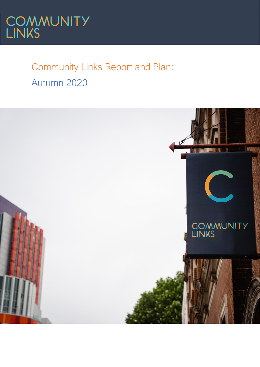

# Community Links Report and Plan: Autumn 2020

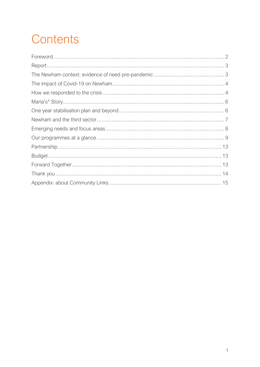# Contents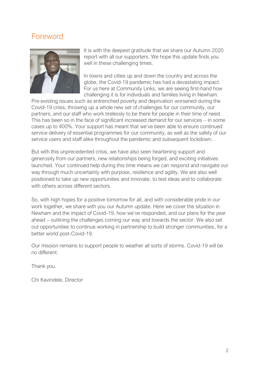# <span id="page-2-0"></span>Foreword



It is with the deepest gratitude that we share our Autumn 2020 report with all our supporters. We hope this update finds you well in these challenging times.

In towns and cities up and down the country and across the globe, the Covid-19 pandemic has had a devastating impact. For us here at Community Links, we are seeing first-hand how challenging it is for individuals and families living in Newham.

Pre-existing issues such as entrenched poverty and deprivation worsened during the Covid-19 crisis, throwing up a whole new set of challenges for our community, our partners, and our staff who work tirelessly to be there for people in their time of need. This has been so in the face of significant increased demand for our services – in some cases up to 400%. Your support has meant that we've been able to ensure continued service delivery of essential programmes for our community, as well as the safety of our service users and staff alike throughout the pandemic and subsequent lockdown.

But with this unprecedented crisis, we have also seen heartening support and generosity from our partners, new relationships being forged, and exciting initiatives launched. Your continued help during this time means we can respond and navigate our way through much uncertainty with purpose, resilience and agility. We are also well positioned to take up new opportunities and innovate, to test ideas and to collaborate with others across different sectors.

So, with high hopes for a positive tomorrow for all, and with considerable pride in our work together, we share with you our Autumn update. Here we cover the situation in Newham and the impact of Covid-19, how we've responded, and our plans for the year ahead – outlining the challenges coming our way and towards the sector. We also set out opportunities to continue working in partnership to build stronger communities, for a better world post-Covid-19.

Our mission remains to support people to weather all sorts of storms. Covid-19 will be no different.

Thank you.

Chi Kavindele, Director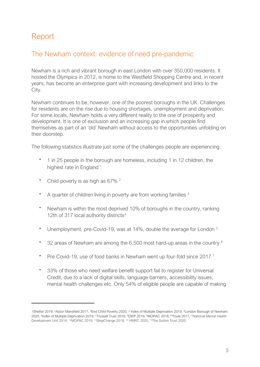# <span id="page-3-0"></span>Report

## <span id="page-3-1"></span>The Newham context: evidence of need pre-pandemic

Newham is a rich and vibrant borough in east London with over 350,000 residents. It hosted the Olympics in 2012, is home to the Westfield Shopping Centre and, in recent years, has become an enterprise giant with increasing development and links to the City.

Newham continues to be, however, one of the poorest boroughs in the UK. Challenges for residents are on the rise due to housing shortages, unemployment and deprivation. For some locals, Newham holds a very different reality to the one of prosperity and development. It is one of exclusion and an increasing gap in which people find themselves as part of an 'old' Newham without access to the opportunities unfolding on their doorstep.

The following statistics illustrate just some of the challenges people are experiencing:

- 1 in 25 people in the borough are homeless, including 1 in 12 children, the highest rate in England<sup>1</sup>
- Child poverty is as high as 67%<sup>2</sup>
- A quarter of children living in poverty are from working families  $3$
- Newham is within the most deprived 10% of boroughs in the country, ranking 12th of 317 local authority districts<sup>4</sup>
- Unemployment, pre-Covid-19, was at 14%, double the average for London<sup>5</sup>
- 32 areas of Newham are among the  $6,500$  most hard-up areas in the country  $6$
- Pre Covid-19, use of food banks in Newham went up four-fold since 2017<sup>7</sup>
- 33% of those who need welfare benefit support fail to register for Universal Credit, due to a lack of digital skills, language barriers, accessibility issues, mental health challenges etc. Only 54% of eligible people are capable of making

<sup>1</sup>Shelter 2019, <sup>2</sup>Aston Mansfield 2017, <sup>3</sup>End Child Poverty 2020, <sup>4</sup> Index of Multiple Deprivation 2019, <sup>5</sup>London Borough of Newham 2020, <sup>6</sup>Index of Multiple Deprivation 2019, <sup>7</sup>Trussell Trust 2019, <sup>8</sup>DWP 2019, <sup>9</sup>MOPAC 2018,<sup>10</sup>Youle 2017, <sup>11</sup>National Mental Health Development Unit 2019, <sup>12</sup>MOPAC 2019, <sup>13</sup>StepChange 2018, <sup>14</sup> HMRC 2020, <sup>15</sup>The Sutton Trust 2020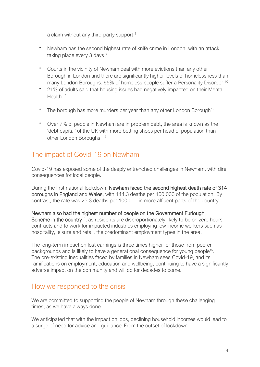a claim without any third-party support <sup>8</sup>

- Newham has the second highest rate of knife crime in London, with an attack taking place every 3 days <sup>9</sup>
- Courts in the vicinity of Newham deal with more evictions than any other Borough in London and there are significantly higher levels of homelessness than many London Boroughs. 65% of homeless people suffer a Personality Disorder <sup>10</sup>
- 21% of adults said that housing issues had negatively impacted on their Mental Health<sup>11</sup>
- The borough has more murders per year than any other London Borough<sup>12</sup>
- Over 7% of people in Newham are in problem debt, the area is known as the 'debt capital' of the UK with more betting shops per head of population than other London Boroughs.<sup>13</sup>

## <span id="page-4-0"></span>The impact of Covid-19 on Newham

Covid-19 has exposed some of the deeply entrenched challenges in Newham, with dire consequences for local people.

During the first national lockdown, Newham faced the second highest death rate of 314 boroughs in England and Wales, with 144.3 deaths per 100,000 of the population. By contrast, the rate was 25.3 deaths per 100,000 in more affluent parts of the country.

Newham also had the highest number of people on the Government Furlough Scheme in the country<sup>14</sup>, as residents are disproportionately likely to be on zero hours contracts and to work for impacted industries employing low income workers such as hospitality, leisure and retail, the predominant employment types in the area.

The long-term impact on lost earnings is three times higher for those from poorer backgrounds and is likely to have a generational consequence for young people<sup>15</sup>. The pre-existing inequalities faced by families in Newham sees Covid-19, and its ramifications on employment, education and wellbeing, continuing to have a significantly adverse impact on the community and will do for decades to come.

#### <span id="page-4-1"></span>How we responded to the crisis

We are committed to supporting the people of Newham through these challenging times, as we have always done.

We anticipated that with the impact on jobs, declining household incomes would lead to a surge of need for advice and guidance. From the outset of lockdown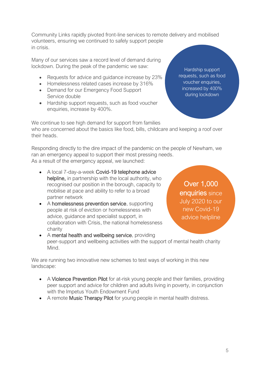Community Links rapidly pivoted front-line services to remote delivery and mobilised volunteers, ensuring we continued to safely support people in crisis.

Many of our services saw a record level of demand during lockdown. During the peak of the pandemic we saw:

- Requests for advice and guidance increase by 23%
- Homelessness related cases increase by 316%
- Demand for our Emergency Food Support Service double
- Hardship support requests, such as food voucher enquiries, increase by 400%.

Hardship support requests, such as food voucher enquiries, increased by 400% during lockdown

We continue to see high demand for support from families who are concerned about the basics like food, bills, childcare and keeping a roof over their heads.

Responding directly to the dire impact of the pandemic on the people of Newham, we ran an emergency appeal to support their most pressing needs. As a result of the emergency appeal, we launched:

- A local 7-day-a-week Covid-19 telephone advice helpline, in partnership with the local authority, who recognised our position in the borough, capacity to mobilise at pace and ability to refer to a broad partner network
- A homelessness prevention service, supporting people at risk of eviction or homelessness with advice, guidance and specialist support, in collaboration with Crisis, the national homelessness charity

Over 1,000 enquiries since July 2020 to our new Covid-19 advice helpline

• A mental health and wellbeing service, providing peer-support and wellbeing activities with the support of mental health charity Mind.

We are running two innovative new schemes to test ways of working in this new landscape:

- A Violence Prevention Pilot for at-risk young people and their families, providing peer support and advice for children and adults living in poverty, in conjunction with the Impetus Youth Endowment Fund
- A remote Music Therapy Pilot for young people in mental health distress.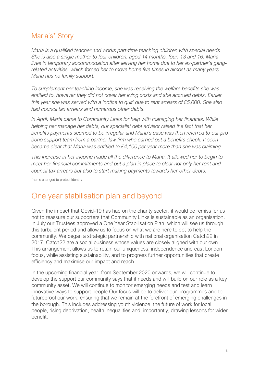# <span id="page-6-0"></span>Maria's\* Story

*Maria is a qualified teacher and works part-time teaching children with special needs. She is also a single mother to four children, aged 14 months, four, 13 and 16. Maria lives in temporary accommodation after leaving her home due to her ex-partner's gangrelated activities, which forced her to move home five times in almost as many years. Maria has no family support.*

*To supplement her teaching income, she was receiving the welfare benefits she was entitled to, however they did not cover her living costs and she accrued debts. Earlier this year she was served with a 'notice to quit' due to rent arrears of £5,000. She also had council tax arrears and numerous other debts.*

*In April, Maria came to Community Links for help with managing her finances. While helping her manage her debts, our specialist debt advisor raised the fact that her*  benefits payments seemed to be irregular and Maria's case was then referred to our pro *bono support team from a partner law firm who carried out a benefits check. It soon became clear that Maria was entitled to £4,100 per year more than she was claiming.*

*This increase in her income made all the difference to Maria. It allowed her to begin to meet her financial commitments and put a plan in place to clear not only her rent and council tax arrears but also to start making payments towards her other debts.* 

\*name changed to protect identity

# <span id="page-6-1"></span>One year stabilisation plan and beyond

Given the impact that Covid-19 has had on the charity sector, it would be remiss for us not to reassure our supporters that Community Links is sustainable as an organisation. In July our Trustees approved a One Year Stabilisation Plan, which will see us through this turbulent period and allow us to focus on what we are here to do; to help the community. We began a strategic partnership with national organisation Catch22 in 2017. Catch22 are a social business whose values are closely aligned with our own. This arrangement allows us to retain our uniqueness, independence and east London focus, while assisting sustainability, and to progress further opportunities that create efficiency and maximise our impact and reach.

In the upcoming financial year, from September 2020 onwards, we will continue to develop the support our community says that it needs and will build on our role as a key community asset. We will continue to monitor emerging needs and test and learn innovative ways to support people Our focus will be to deliver our programmes and to futureproof our work, ensuring that we remain at the forefront of emerging challenges in the borough. This includes addressing youth violence, the future of work for local people, rising deprivation, health inequalities and, importantly, drawing lessons for wider benefit.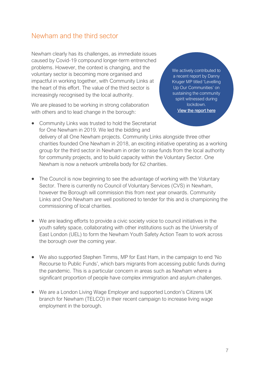#### <span id="page-7-0"></span>Newham and the third sector

Newham clearly has its challenges, as immediate issues caused by Covid-19 compound longer-term entrenched problems. However, the context is changing, and the voluntary sector is becoming more organised and impactful in working together, with Community Links at the heart of this effort. The value of the third sector is increasingly recognised by the local authority.

We are pleased to be working in strong collaboration with others and to lead change in the borough:

Kruger MP titled 'Levelling Up Our Communities' on sustaining the community spirit witnessed during lockdown. [View the report here](https://www.dannykruger.org.uk/communities-report)

We actively contributed to a recent report by Danny

- Community Links was trusted to hold the Secretariat for One Newham in 2019. We led the bidding and delivery of all One Newham projects. Community Links alongside three other charities founded One Newham in 2018, an exciting initiative operating as a working group for the third sector in Newham in order to raise funds from the local authority for community projects, and to build capacity within the Voluntary Sector. One Newham is now a network umbrella body for 62 charities.
- The Council is now beginning to see the advantage of working with the Voluntary Sector. There is currently no Council of Voluntary Services (CVS) in Newham, however the Borough will commission this from next year onwards. Community Links and One Newham are well positioned to tender for this and is championing the commissioning of local charities.
- We are leading efforts to provide a civic society voice to council initiatives in the youth safety space, collaborating with other institutions such as the University of East London (UEL) to form the Newham Youth Safety Action Team to work across the borough over the coming year.
- We also supported Stephen Timms, MP for East Ham, in the campaign to end 'No Recourse to Public Funds', which bars migrants from accessing public funds during the pandemic. This is a particular concern in areas such as Newham where a significant proportion of people have complex immigration and asylum challenges.
- We are a London Living Wage Employer and supported London's Citizens UK branch for Newham (TELCO) in their recent campaign to increase living wage employment in the borough.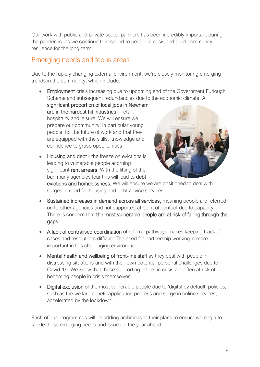Our work with public and private sector partners has been incredibly important during the pandemic, as we continue to respond to people in crisis and build community resilience for the long-term.

#### <span id="page-8-0"></span>Emerging needs and focus areas

Due to the rapidly changing external environment, we're closely monitoring emerging trends in the community, which include:

• Employment crisis increasing due to upcoming end of the Government Furlough Scheme and subsequent redundancies due to the economic climate. A

significant proportion of local jobs in Newham are in the hardest hit industries – retail, hospitality and leisure. We will ensure we prepare our community, in particular young people, for the future of work and that they are equipped with the skills, knowledge and confidence to grasp opportunities

• Housing and debt - the freeze on evictions is leading to vulnerable people accruing significant **rent arrears**. With the lifting of the ban many agencies fear this will lead to debt,



evictions and homelessness. We will ensure we are positioned to deal with surges in need for housing and debt advice services

- Sustained increases in demand across all services, meaning people are referred on to other agencies and not supported at point of contact due to capacity. There is concern that the most vulnerable people are at risk of falling through the gaps
- A lack of centralised coordination of referral pathways makes keeping track of cases and resolutions difficult. The need for partnership working is more important in this challenging environment
- Mental health and wellbeing of front-line staff as they deal with people in distressing situations and with their own potential personal challenges due to Covid-19. We know that those supporting others in crisis are often at risk of becoming people in crisis themselves
- Digital exclusion of the most vulnerable people due to 'digital by default' policies, such as the welfare benefit application process and surge in online services, accelerated by the lockdown.

Each of our programmes will be adding ambitions to their plans to ensure we begin to tackle these emerging needs and issues in the year ahead.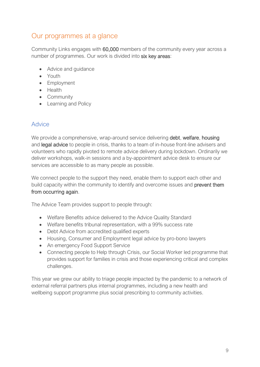# <span id="page-9-0"></span>Our programmes at a glance

Community Links engages with 60,000 members of the community every year across a number of programmes. Our work is divided into six key areas:

- Advice and guidance
- Youth
- Employment
- Health
- Community
- Learning and Policy

#### Advice

We provide a comprehensive, wrap-around service delivering **debt, welfare, housing** and legal advice to people in crisis, thanks to a team of in-house front-line advisers and volunteers who rapidly pivoted to remote advice delivery during lockdown. Ordinarily we deliver workshops, walk-in sessions and a by-appointment advice desk to ensure our services are accessible to as many people as possible.

We connect people to the support they need, enable them to support each other and build capacity within the community to identify and overcome issues and prevent them from occurring again.

The Advice Team provides support to people through:

- Welfare Benefits advice delivered to the Advice Quality Standard
- Welfare benefits tribunal representation, with a 99% success rate
- Debt Advice from accredited qualified experts
- Housing, Consumer and Employment legal advice by pro-bono lawyers
- An emergency Food Support Service
- Connecting people to Help through Crisis, our Social Worker led programme that provides support for families in crisis and those experiencing critical and complex challenges.

This year we grew our ability to triage people impacted by the pandemic to a network of external referral partners plus internal programmes, including a new health and wellbeing support programme plus social prescribing to community activities.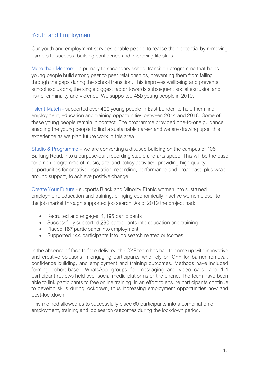#### Youth and Employment

Our youth and employment services enable people to realise their potential by removing barriers to success, building confidence and improving life skills.

More than Mentors - a primary to secondary school transition programme that helps young people build strong peer to peer relationships, preventing them from falling through the gaps during the school transition. This improves wellbeing and prevents school exclusions, the single biggest factor towards subsequent social exclusion and risk of criminality and violence. We supported 450 young people in 2019.

Talent Match - supported over 400 young people in East London to help them find employment, education and training opportunities between 2014 and 2018. Some of these young people remain in contact. The programme provided one-to-one guidance enabling the young people to find a sustainable career and we are drawing upon this experience as we plan future work in this area.

Studio & Programme – we are converting a disused building on the campus of 105 Barking Road, into a purpose-built recording studio and arts space. This will be the base for a rich programme of music, arts and policy activities; providing high quality opportunities for creative inspiration, recording, performance and broadcast, plus wraparound support, to achieve positive change.

Create Your Future - supports Black and Minority Ethnic women into sustained employment, education and training, bringing economically inactive women closer to the job market through supported job search. As of 2019 the project had:

- Recruited and engaged 1,195 participants
- Successfully supported 290 participants into education and training
- Placed 167 participants into employment
- Supported 144 participants into job search related outcomes.

In the absence of face to face delivery, the CYF team has had to come up with innovative and creative solutions in engaging participants who rely on CYF for barrier removal, confidence building, and employment and training outcomes. Methods have included forming cohort-based WhatsApp groups for messaging and video calls, and 1-1 participant reviews held over social media platforms or the phone. The team have been able to link participants to free online training, in an effort to ensure participants continue to develop skills during lockdown, thus increasing employment opportunities now and post-lockdown.

This method allowed us to successfully place 60 participants into a combination of employment, training and job search outcomes during the lockdown period.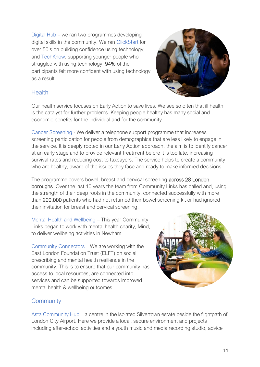Digital Hub – we ran two programmes developing digital skills in the community. We ran ClickStart for over 50's on building confidence using technology; and TechKnow, supporting younger people who struggled with using technology. 94% of the participants felt more confident with using technology as a result.



#### **Health**

Our health service focuses on Early Action to save lives. We see so often that ill health is the catalyst for further problems. Keeping people healthy has many social and economic benefits for the individual and for the community.

Cancer Screening - We deliver a telephone support programme that increases screening participation for people from demographics that are less likely to engage in the service. It is deeply rooted in our Early Action approach, the aim is to identify cancer at an early stage and to provide relevant treatment before it is too late, increasing survival rates and reducing cost to taxpayers. The service helps to create a community who are healthy, aware of the issues they face and ready to make informed decisions.

The programme covers bowel, breast and cervical screening across 28 London boroughs. Over the last 10 years the team from Community Links has called and, using the strength of their deep roots in the community, connected successfully with more than 200,000 patients who had not returned their bowel screening kit or had ignored their invitation for breast and cervical screening.

Mental Health and Wellbeing – This year Community Links began to work with mental health charity, Mind, to deliver wellbeing activities in Newham.

Community Connectors – We are working with the East London Foundation Trust (ELFT) on social prescribing and mental health resilience in the community. This is to ensure that our community has access to local resources, are connected into services and can be supported towards improved mental health & wellbeing outcomes.



#### **Community**

Asta Community Hub – a centre in the isolated Silvertown estate beside the flightpath of London City Airport. Here we provide a local, secure environment and projects including after-school activities and a youth music and media recording studio, advice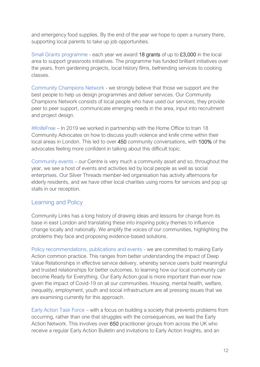and emergency food supplies. By the end of the year we hope to open a nursery there, supporting local parents to take up job opportunities.

Small Grants programme - each year we award 18 grants of up to £3,000 in the local area to support grassroots initiatives. The programme has funded brilliant initiatives over the years, from gardening projects, local history films, befriending services to cooking classes.

Community Champions Network - we strongly believe that those we support are the best people to help us design programmes and deliver services. Our Community Champions Network consists of local people who have used our services, they provide peer to peer support, communicate emerging needs in the area, input into recruitment and project design.

#KnifeFree – In 2019 we worked in partnership with the Home Office to train 18 Community Advocates on how to discuss youth violence and knife crime within their local areas in London. This led to over 450 community conversations, with 100% of the advocates feeling more confident in talking about this difficult topic.

Community events – our Centre is very much a community asset and so, throughout the year, we see a host of events and activities led by local people as well as social enterprises. Our Silver Threads member-led organisation has activity afternoons for elderly residents, and we have other local charities using rooms for services and pop up stalls in our reception.

#### Learning and Policy

Community Links has a long history of drawing ideas and lessons for change from its base in east London and translating these into inspiring policy themes to influence change locally and nationally. We amplify the voices of our communities, highlighting the problems they face and proposing evidence-based solutions.

Policy recommendations, publications and events - we are committed to making Early Action common practice. This ranges from better understanding the impact of Deep Value Relationships in effective service delivery, whereby service users build meaningful and trusted relationships for better outcomes, to learning how our local community can become Ready for Everything. Our Early Action goal is more important than ever now given the impact of Covid-19 on all our communities. Housing, mental health, welfare, inequality, employment, youth and social infrastructure are all pressing issues that we are examining currently for this approach.

Early Action Task Force – with a focus on building a society that prevents problems from occurring, rather than one that struggles with the consequences, we lead the Early Action Network. This involves over 650 practitioner groups from across the UK who receive a regular Early Action Bulletin and invitations to Early Action Insights, and an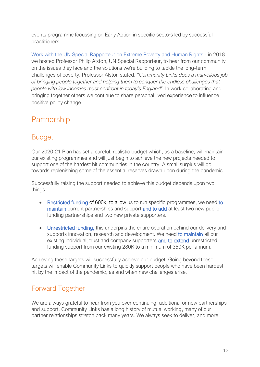events programme focussing on Early Action in specific sectors led by successful practitioners.

Work with the UN Special Rapporteur on Extreme Poverty and Human Rights - in 2018 we hosted Professor Philip Alston, UN Special Rapporteur, to hear from our community on the issues they face and the solutions we're building to tackle the long-term challenges of poverty. Professor Alston stated: *"Community Links does a marvellous job of bringing people together and helping them to conquer the endless challenges that people with low incomes must confront in today's England".* In work collaborating and bringing together others we continue to share personal lived experience to influence positive policy change.

# <span id="page-13-0"></span>Partnership

# <span id="page-13-1"></span>**Budget**

Our 2020-21 Plan has set a careful, realistic budget which, as a baseline, will maintain our existing programmes and will just begin to achieve the new projects needed to support one of the hardest hit communities in the country. A small surplus will go towards replenishing some of the essential reserves drawn upon during the pandemic.

Successfully raising the support needed to achieve this budget depends upon two things:

- Restricted funding of 600k, to allow us to run specific programmes, we need to maintain current partnerships and support and to add at least two new public funding partnerships and two new private supporters.
- Unrestricted funding, this underpins the entire operation behind our delivery and supports innovation, research and development. We need to maintain all our existing individual, trust and company supporters and to extend unrestricted funding support from our existing 280K to a minimum of 350K per annum.

Achieving these targets will successfully achieve our budget. Going beyond these targets will enable Community Links to quickly support people who have been hardest hit by the impact of the pandemic, as and when new challenges arise.

# <span id="page-13-2"></span>Forward Together

We are always grateful to hear from you over continuing, additional or new partnerships and support. Community Links has a long history of mutual working, many of our partner relationships stretch back many years. We always seek to deliver, and more.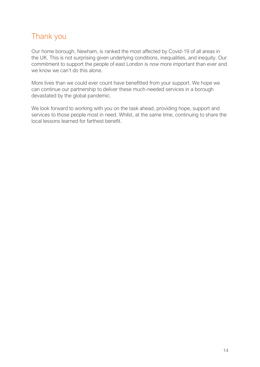# <span id="page-14-0"></span>Thank you

Our home borough, Newham, is ranked the most affected by Covid-19 of all areas in the UK. This is not surprising given underlying conditions, inequalities, and inequity. Our commitment to support the people of east London is now more important than ever and we know we can't do this alone.

More lives than we could ever count have benefitted from your support. We hope we can continue our partnership to deliver these much-needed services in a borough devastated by the global pandemic.

We look forward to working with you on the task ahead, providing hope, support and services to those people most in need. Whilst, at the same time, continuing to share the local lessons learned for farthest benefit.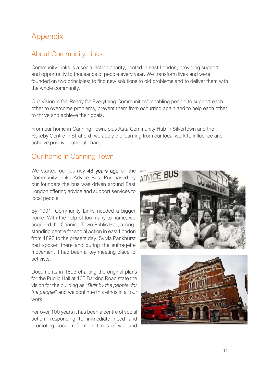# <span id="page-15-0"></span>Appendix

### About Community Links

Community Links is a social action charity, rooted in east London, providing support and opportunity to thousands of people every year. We transform lives and were founded on two principles: to find new solutions to old problems and to deliver them with the whole community.

Our Vision is for 'Ready for Everything Communities': enabling people to support each other to overcome problems, prevent them from occurring again and to help each other to thrive and achieve their goals.

From our home in Canning Town, plus Asta Community Hub in Silvertown and the Rokeby Centre in Stratford, we apply the learning from our local work to influence and achieve positive national change.

# Our home in Canning Town

We started our journey 43 years ago on the Community Links Advice Bus. Purchased by ADVICE BUS our founders the bus was driven around East London offering advice and support services to local people.

By 1991, Community Links needed a bigger home. With the help of too many to name, we acquired the Canning Town Public Hall, a longstanding centre for social action in east London from 1893 to the present day. Sylvia Pankhurst had spoken there and during the suffragette movement it had been a key meeting place for activists.

Documents in 1893 charting the original plans for the Public Hall at 105 Barking Road state the vision for the building as "*Built by the people, for the people*" and we continue this ethos in all our work.

For over 100 years it has been a centre of social action: responding to immediate need and promoting social reform. In times of war and

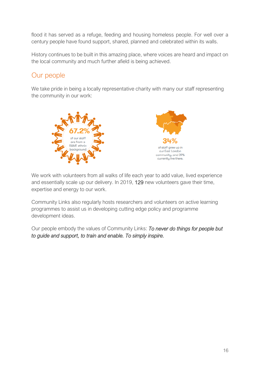flood it has served as a refuge, feeding and housing homeless people. For well over a century people have found support, shared, planned and celebrated within its walls.

History continues to be built in this amazing place, where voices are heard and impact on the local community and much further afield is being achieved.

# Our people

We take pride in being a locally representative charity with many our staff representing the community in our work:





We work with volunteers from all walks of life each year to add value, lived experience and essentially scale up our delivery. In 2019, 129 new volunteers gave their time, expertise and energy to our work.

Community Links also regularly hosts researchers and volunteers on active learning programmes to assist us in developing cutting edge policy and programme development ideas.

Our people embody the values of Community Links: *To never do things for people but to guide and support, to train and enable. To simply inspire.*